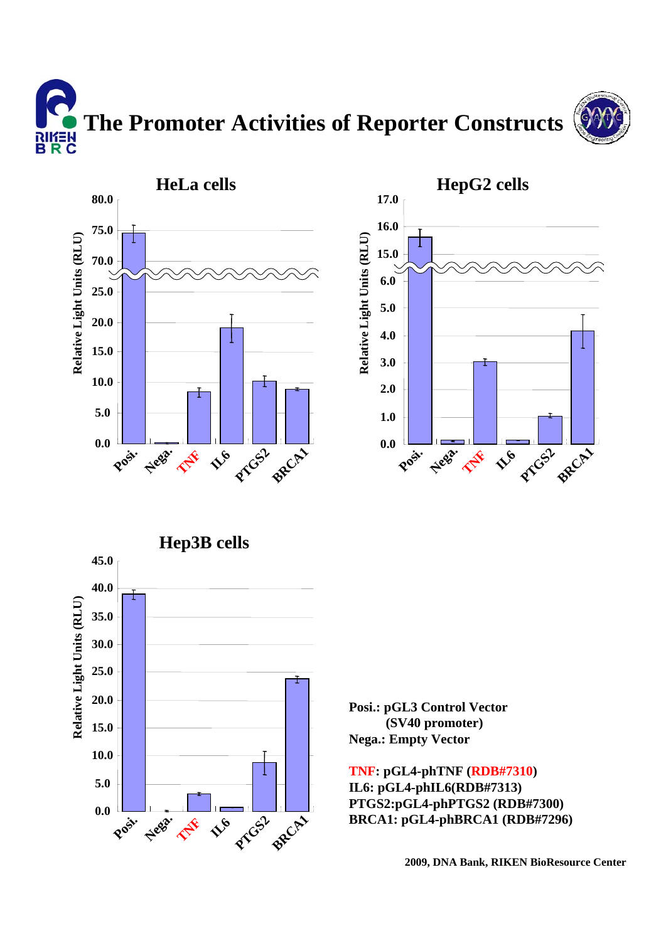







**Posi.: pGL3 Control Vector (SV40 promoter) Nega.: Empty Vector**

**TNF: pGL4-phTNF (RDB#7310) IL6: pGL4-phIL6(RDB#7313) PTGS2:pGL4-phPTGS2 (RDB#7300) BRCA1: pGL4-phBRCA1 (RDB#7296)**

**2009, DNA Bank, RIKEN BioResource Center**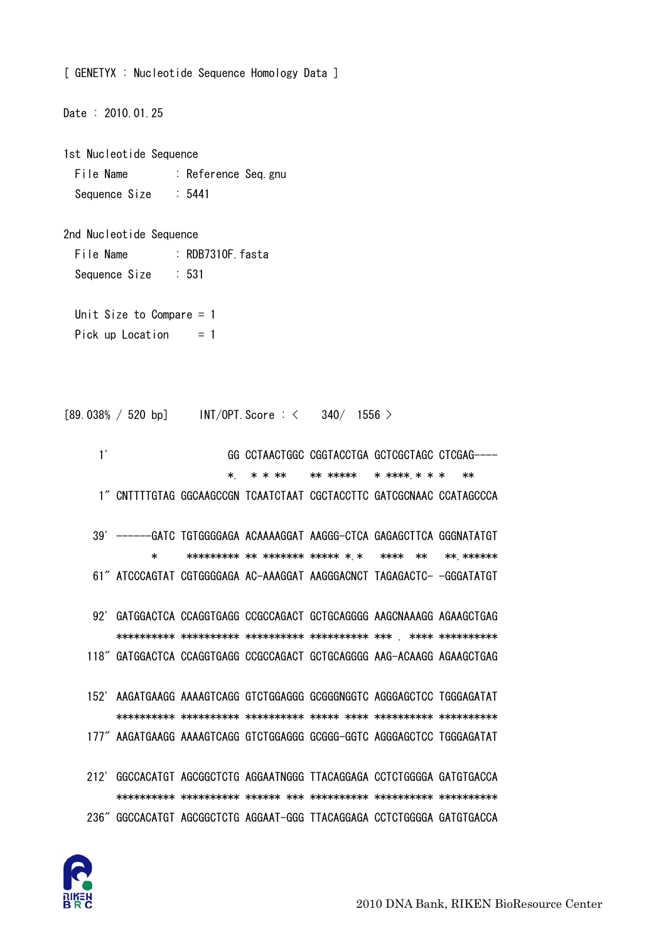

Date : 2010.01.25 1st Nucleotide Sequence File Name : Reference Seq.gnu Sequence Size : 5441 2nd Nucleotide Sequence File Name : RDB7310F.fasta Sequence Size : 531 Unit Size to Compare = 1 Pick up Location  $= 1$  $[89.038\% / 520 \text{ bp}]$  INT/OPT. Score : < 340/ 1556 > 1' GG CCTAACTGGC CGGTACCTGA GCTCGCTAGC CTCGAG---- \*. \* \* \*\* \* \*\* \*\*\*\*\* \* \*\*\*\*.\* \* \* \*\* 1" CNTTTTGTAG GGCAAGCCGN TCAATCTAAT CGCTACCTTC GATCGCNAAC CCATAGCCCA 39' ------GATC TGTGGGGAGA ACAAAAGGAT AAGGG-CTCA GAGAGCTTCA GGGNATATGT \* \*\*\*\*\*\*\*\*\* \*\* \*\*\*\*\*\*\* \*\*\*\*\* \*.\* \*\*\*\* \*\* \*\*.\*\*\*\*\*\* 61" ATCCCAGTAT CGTGGGGAGA AC-AAAGGAT AAGGGACNCT TAGAGACTC- -GGGATATGT 92' GATGGACTCA CCAGGTGAGG CCGCCAGACT GCTGCAGGGG AAGCNAAAGG AGAAGCTGAG \*\*\*\*\*\*\*\*\*\* \*\*\*\*\*\*\*\*\*\* \*\*\*\*\*\*\*\*\*\* \*\*\*\*\*\*\*\*\*\* \*\*\* . \*\*\*\* \*\*\*\*\*\*\*\*\*\* 118" GATGGACTCA CCAGGTGAGG CCGCCAGACT GCTGCAGGGG AAG-ACAAGG AGAAGCTGAG 152' AAGATGAAGG AAAAGTCAGG GTCTGGAGGG GCGGGNGGTC AGGGAGCTCC TGGGAGATAT \*\*\*\*\*\*\*\*\*\* \*\*\*\*\*\*\*\*\*\* \*\*\*\*\*\*\*\*\*\* \*\*\*\*\* \*\*\*\* \*\*\*\*\*\*\*\*\*\* \*\*\*\*\*\*\*\*\*\* 177" AAGATGAAGG AAAAGTCAGG GTCTGGAGGG GCGGG-GGTC AGGGAGCTCC TGGGAGATAT 212' GGCCACATGT AGCGGCTCTG AGGAATNGGG TTACAGGAGA CCTCTGGGGA GATGTGACCA \*\*\*\*\*\*\*\*\*\* \*\*\*\*\*\*\*\*\*\* \*\*\*\*\*\* \*\*\* \*\*\*\*\*\*\*\*\*\* \*\*\*\*\*\*\*\*\*\* \*\*\*\*\*\*\*\*\*\* 236" GGCCACATGT AGCGGCTCTG AGGAAT-GGG TTACAGGAGA CCTCTGGGGA GATGTGACCA

[ GENETYX : Nucleotide Sequence Homology Data ]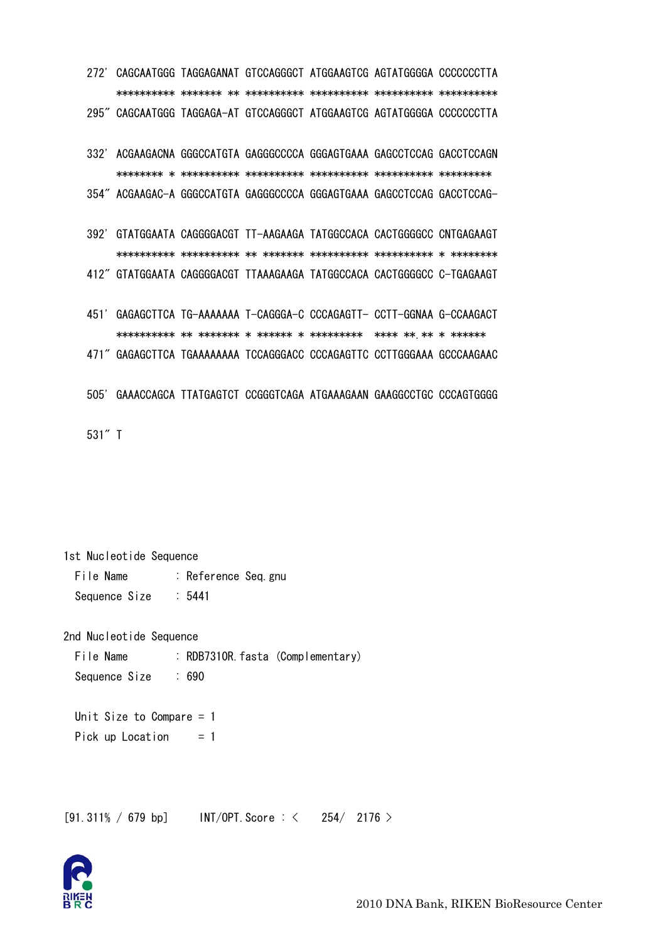| 272' |                                                                        | CAGCAATGGG TAGGAGANAT GTCCAGGGCT ATGGAAGTCG AGTATGGGGA CCCCCCCTTA |  |                     |  |
|------|------------------------------------------------------------------------|-------------------------------------------------------------------|--|---------------------|--|
|      |                                                                        |                                                                   |  |                     |  |
|      | 295" CAGCAATGGG TAGGAGA-AT GTCCAGGGCT ATGGAAGTCG AGTATGGGGA CCCCCCCTTA |                                                                   |  |                     |  |
|      |                                                                        |                                                                   |  |                     |  |
| 332' |                                                                        | ACGAAGACNA GGGCCATGTA GAGGGCCCCA GGGAGTGAAA GAGCCTCCAG GACCTCCAGN |  |                     |  |
|      |                                                                        |                                                                   |  |                     |  |
|      | 354″ ACGAAGAC-A GGGCCATGTA GAGGGCCCCA GGGAGTGAAA GAGCCTCCAG GACCTCCAG- |                                                                   |  |                     |  |
|      |                                                                        |                                                                   |  |                     |  |
| 392' |                                                                        | GTATGGAATA CAGGGGACGT TT-AAGAAGA TATGGCCACA CACTGGGGCC CNTGAGAAGT |  |                     |  |
|      |                                                                        |                                                                   |  |                     |  |
|      | 412″ GTATGGAATA CAGGGGACGT TTAAAGAAGA TATGGCCACA CACTGGGGCC C-TGAGAAGT |                                                                   |  |                     |  |
|      |                                                                        |                                                                   |  |                     |  |
| 451' |                                                                        | GAGAGCTTCA TG-AAAAAAA T-CAGGGA-C CCCAGAGTT- CCTT-GGNAA G-CCAAGACT |  |                     |  |
|      |                                                                        |                                                                   |  | **** ** ** * ****** |  |
|      | 471" GAGAGCTTCA TGAAAAAAAA TCCAGGGACC CCCAGAGTTC CCTTGGGAAA GCCCAAGAAC |                                                                   |  |                     |  |
|      |                                                                        |                                                                   |  |                     |  |
| 505' |                                                                        | GAAACCAGCA TTATGAGTCT CCGGGTCAGA ATGAAAGAAN GAAGGCCTGC CCCAGTGGGG |  |                     |  |
|      |                                                                        |                                                                   |  |                     |  |
|      |                                                                        |                                                                   |  |                     |  |

531" T

1st Nucleotide Sequence

File Name : Reference Seq.gnu Sequence Size  $: 5441$ 

2nd Nucleotide Sequence

File Name : RDB7310R. fasta (Complementary) Sequence Size  $: 690$ 

Unit Size to Compare  $= 1$ Pick up Location  $= 1$ 

[91.311% / 679 bp] INT/OPT. Score:  $\langle 254/2176 \rangle$ 

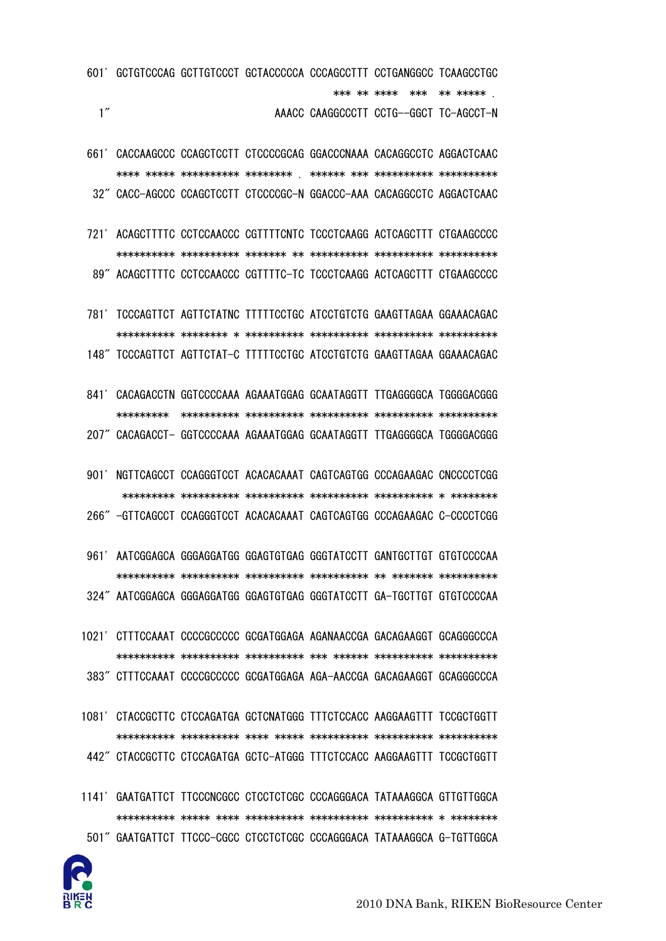

- 1141' GAATGATTCT TTCCCNCGCC CTCCTCTCGC CCCAGGGACA TATAAAGGCA GTTGTTGGCA 501" GAATGATTCT TTCCC-CGCC CTCCTCTCGC CCCAGGGACA TATAAAGGCA G-TGTTGGCA
- 1081' CTACCGCTTC CTCCAGATGA GCTCNATGGG TTTCTCCACC AAGGAAGTTT TCCGCTGGTT 442" CTACCGCTTC CTCCAGATGA GCTC-ATGGG TTTCTCCACC AAGGAAGTTT TCCGCTGGTT
- 1021' CTTTCCAAAT CCCCGCCCCC GCGATGGAGA AGANAACCGA GACAGAAGGT GCAGGGCCCA 383" CTTTCCAAAT CCCCGCCCCC GCGATGGAGA AGA-AACCGA GACAGAAGGT GCAGGGCCCA
- 324" AATCGGAGCA GGGAGGATGG GGAGTGTGAG GGGTATCCTT GA-TGCTTGT GTGTCCCCAA

961' AATCGGAGCA GGGAGGATGG GGAGTGTGAG GGGTATCCTT GANTGCTTGT GTGTCCCCAA

266" -GTTCAGCCT CCAGGGTCCT ACACACAAAT CAGTCAGTGG CCCAGAAGAC C-CCCCTCGG

901' NGTTCAGCCT CCAGGGTCCT ACACACAAAT CAGTCAGTGG CCCAGAAGAC CNCCCCTCGG

- 841' CACAGACCTN GGTCCCCAAA AGAAATGGAG GCAATAGGTT TTGAGGGGCA TGGGGACGGG 207" CACAGACCT- GGTCCCCAAA AGAAATGGAG GCAATAGGTT TTGAGGGGCA TGGGGACGGG
- 781' TCCCAGTTCT AGTTCTATNC TTTTTCCTGC ATCCTGTCTG GAAGTTAGAA GGAAACAGAC 148" TCCCAGTTCT AGTTCTAT-C TTTTTCCTGC ATCCTGTCTG GAAGTTAGAA GGAAACAGAC
- 721' ACAGCTTTTC CCTCCAACCC CGTTTTCNTC TCCCTCAAGG ACTCAGCTTT CTGAAGCCCC 89" ACAGCTTTTC CCTCCAACCC CGTTTTC-TC TCCCTCAAGG ACTCAGCTTT CTGAAGCCCC
- 661' CACCAAGCCC CCAGCTCCTT CTCCCCGCAG GGACCCNAAA CACAGGCCTC AGGACTCAAC 32" CACC-AGCCC CCAGCTCCTT CTCCCCGC-N GGACCC-AAA CACAGGCCTC AGGACTCAAC
- 601' GCTGTCCCAG GCTTGTCCCT GCTACCCCCA CCCAGCCTTT CCTGANGGCC TCAAGCCTGC  $1''$ AAACC CAAGGCCCTT CCTG--GGCT TC-AGCCT-N